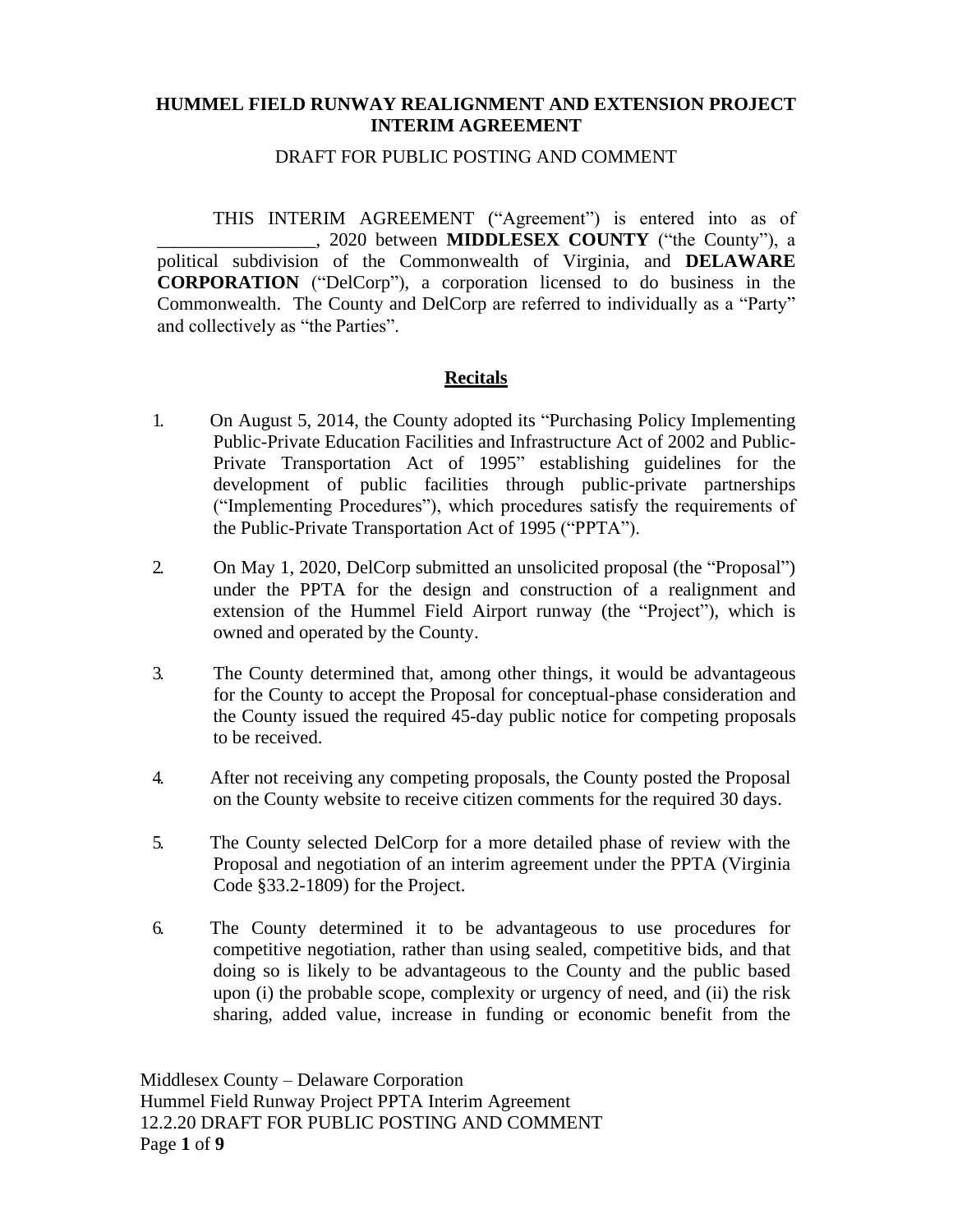## **HUMMEL FIELD RUNWAY REALIGNMENT AND EXTENSION PROJECT INTERIM AGREEMENT**

#### DRAFT FOR PUBLIC POSTING AND COMMENT

THIS INTERIM AGREEMENT ("Agreement") is entered into as of \_\_\_\_\_\_\_\_\_\_\_\_\_\_\_\_\_, 2020 between **MIDDLESEX COUNTY** ("the County"), a political subdivision of the Commonwealth of Virginia, and **DELAWARE CORPORATION** ("DelCorp"), a corporation licensed to do business in the Commonwealth. The County and DelCorp are referred to individually as a "Party" and collectively as "the Parties".

## **Recitals**

- 1. On August 5, 2014, the County adopted its "Purchasing Policy Implementing Public-Private Education Facilities and Infrastructure Act of 2002 and Public-Private Transportation Act of 1995" establishing guidelines for the development of public facilities through public-private partnerships ("Implementing Procedures"), which procedures satisfy the requirements of the Public-Private Transportation Act of 1995 ("PPTA").
- 2. On May 1, 2020, DelCorp submitted an unsolicited proposal (the "Proposal") under the PPTA for the design and construction of a realignment and extension of the Hummel Field Airport runway (the "Project"), which is owned and operated by the County.
- 3. The County determined that, among other things, it would be advantageous for the County to accept the Proposal for conceptual-phase consideration and the County issued the required 45-day public notice for competing proposals to be received.
- 4. After not receiving any competing proposals, the County posted the Proposal on the County website to receive citizen comments for the required 30 days.
- 5. The County selected DelCorp for a more detailed phase of review with the Proposal and negotiation of an interim agreement under the PPTA (Virginia Code §33.2-1809) for the Project.
- 6. The County determined it to be advantageous to use procedures for competitive negotiation, rather than using sealed, competitive bids, and that doing so is likely to be advantageous to the County and the public based upon (i) the probable scope, complexity or urgency of need, and (ii) the risk sharing, added value, increase in funding or economic benefit from the

Middlesex County – Delaware Corporation Hummel Field Runway Project PPTA Interim Agreement 12.2.20 DRAFT FOR PUBLIC POSTING AND COMMENT Page **1** of **9**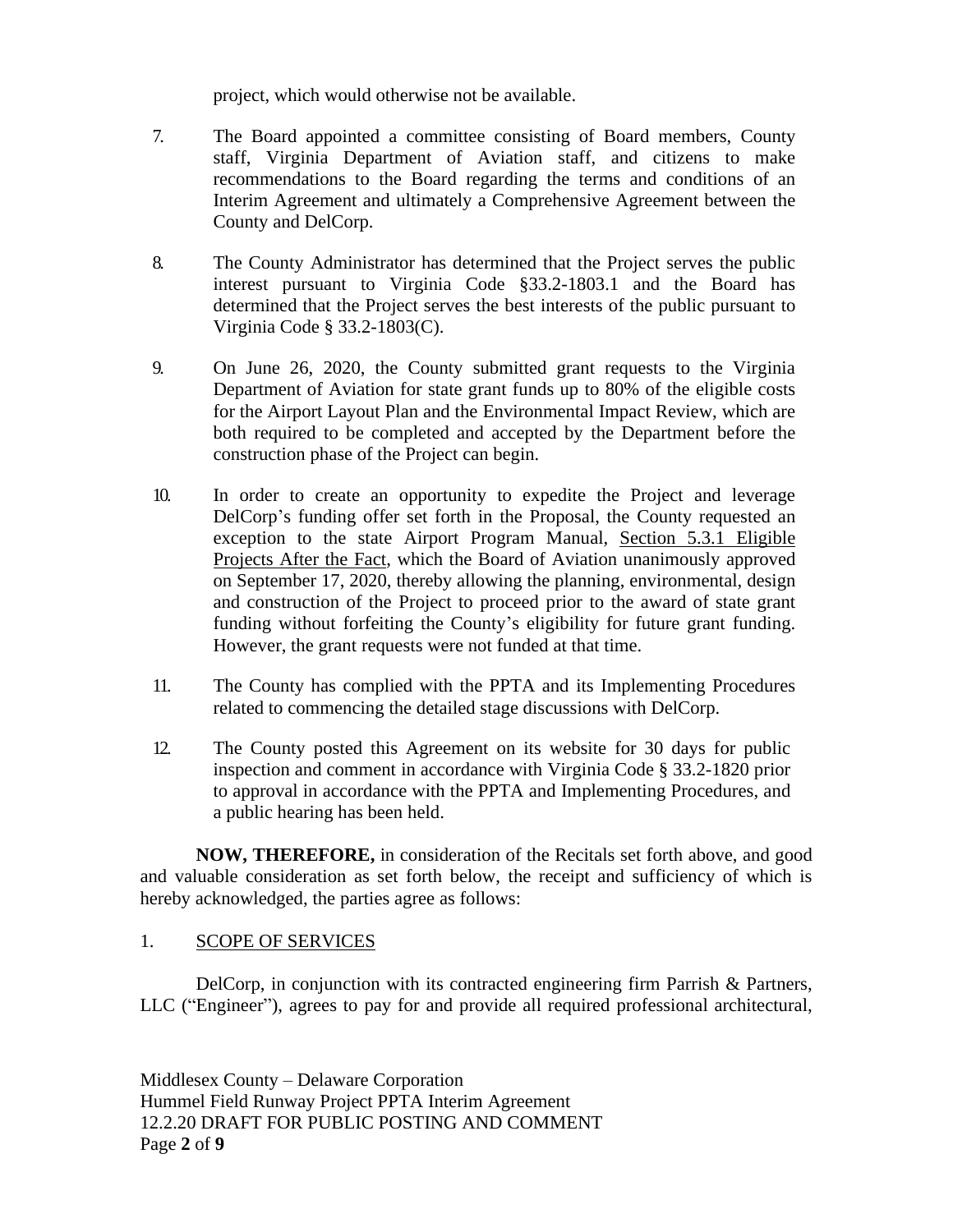project, which would otherwise not be available.

- 7. The Board appointed a committee consisting of Board members, County staff, Virginia Department of Aviation staff, and citizens to make recommendations to the Board regarding the terms and conditions of an Interim Agreement and ultimately a Comprehensive Agreement between the County and DelCorp.
- 8. The County Administrator has determined that the Project serves the public interest pursuant to Virginia Code §33.2-1803.1 and the Board has determined that the Project serves the best interests of the public pursuant to Virginia Code § 33.2-1803(C).
- 9. On June 26, 2020, the County submitted grant requests to the Virginia Department of Aviation for state grant funds up to 80% of the eligible costs for the Airport Layout Plan and the Environmental Impact Review, which are both required to be completed and accepted by the Department before the construction phase of the Project can begin.
- 10. In order to create an opportunity to expedite the Project and leverage DelCorp's funding offer set forth in the Proposal, the County requested an exception to the state Airport Program Manual, Section 5.3.1 Eligible Projects After the Fact, which the Board of Aviation unanimously approved on September 17, 2020, thereby allowing the planning, environmental, design and construction of the Project to proceed prior to the award of state grant funding without forfeiting the County's eligibility for future grant funding. However, the grant requests were not funded at that time.
- 11. The County has complied with the PPTA and its Implementing Procedures related to commencing the detailed stage discussions with DelCorp.
- 12. The County posted this Agreement on its website for 30 days for public inspection and comment in accordance with Virginia Code § 33.2-1820 prior to approval in accordance with the PPTA and Implementing Procedures, and a public hearing has been held.

**NOW, THEREFORE,** in consideration of the Recitals set forth above, and good and valuable consideration as set forth below, the receipt and sufficiency of which is hereby acknowledged, the parties agree as follows:

## 1. SCOPE OF SERVICES

DelCorp, in conjunction with its contracted engineering firm Parrish  $\&$  Partners, LLC ("Engineer"), agrees to pay for and provide all required professional architectural,

Middlesex County – Delaware Corporation Hummel Field Runway Project PPTA Interim Agreement 12.2.20 DRAFT FOR PUBLIC POSTING AND COMMENT Page **2** of **9**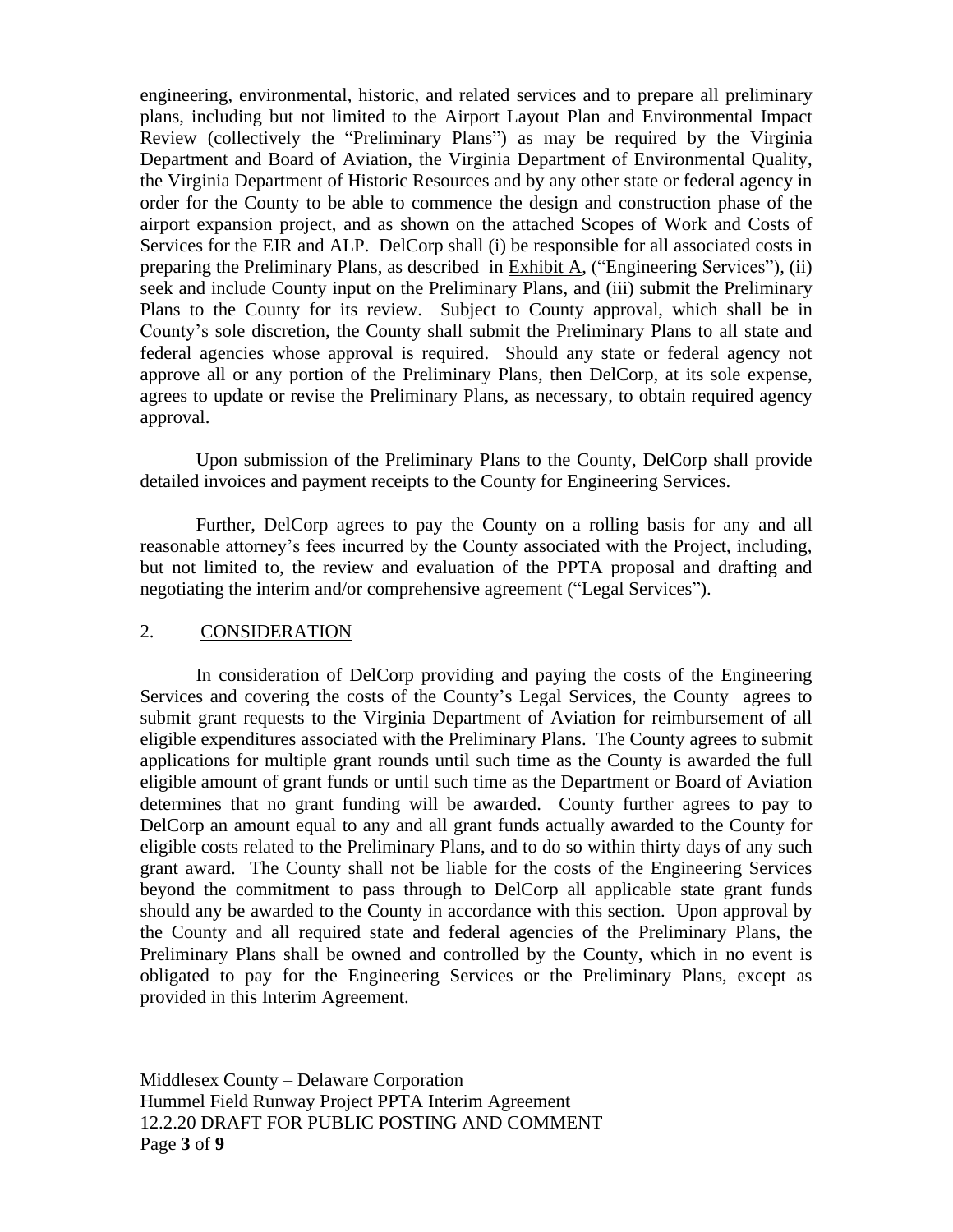engineering, environmental, historic, and related services and to prepare all preliminary plans, including but not limited to the Airport Layout Plan and Environmental Impact Review (collectively the "Preliminary Plans") as may be required by the Virginia Department and Board of Aviation, the Virginia Department of Environmental Quality, the Virginia Department of Historic Resources and by any other state or federal agency in order for the County to be able to commence the design and construction phase of the airport expansion project, and as shown on the attached Scopes of Work and Costs of Services for the EIR and ALP. DelCorp shall (i) be responsible for all associated costs in preparing the Preliminary Plans, as described in Exhibit A, ("Engineering Services"), (ii) seek and include County input on the Preliminary Plans, and (iii) submit the Preliminary Plans to the County for its review. Subject to County approval, which shall be in County's sole discretion, the County shall submit the Preliminary Plans to all state and federal agencies whose approval is required. Should any state or federal agency not approve all or any portion of the Preliminary Plans, then DelCorp, at its sole expense, agrees to update or revise the Preliminary Plans, as necessary, to obtain required agency approval.

Upon submission of the Preliminary Plans to the County, DelCorp shall provide detailed invoices and payment receipts to the County for Engineering Services.

Further, DelCorp agrees to pay the County on a rolling basis for any and all reasonable attorney's fees incurred by the County associated with the Project, including, but not limited to, the review and evaluation of the PPTA proposal and drafting and negotiating the interim and/or comprehensive agreement ("Legal Services").

#### 2. CONSIDERATION

In consideration of DelCorp providing and paying the costs of the Engineering Services and covering the costs of the County's Legal Services, the County agrees to submit grant requests to the Virginia Department of Aviation for reimbursement of all eligible expenditures associated with the Preliminary Plans. The County agrees to submit applications for multiple grant rounds until such time as the County is awarded the full eligible amount of grant funds or until such time as the Department or Board of Aviation determines that no grant funding will be awarded. County further agrees to pay to DelCorp an amount equal to any and all grant funds actually awarded to the County for eligible costs related to the Preliminary Plans, and to do so within thirty days of any such grant award. The County shall not be liable for the costs of the Engineering Services beyond the commitment to pass through to DelCorp all applicable state grant funds should any be awarded to the County in accordance with this section. Upon approval by the County and all required state and federal agencies of the Preliminary Plans, the Preliminary Plans shall be owned and controlled by the County, which in no event is obligated to pay for the Engineering Services or the Preliminary Plans, except as provided in this Interim Agreement.

Middlesex County – Delaware Corporation Hummel Field Runway Project PPTA Interim Agreement 12.2.20 DRAFT FOR PUBLIC POSTING AND COMMENT Page **3** of **9**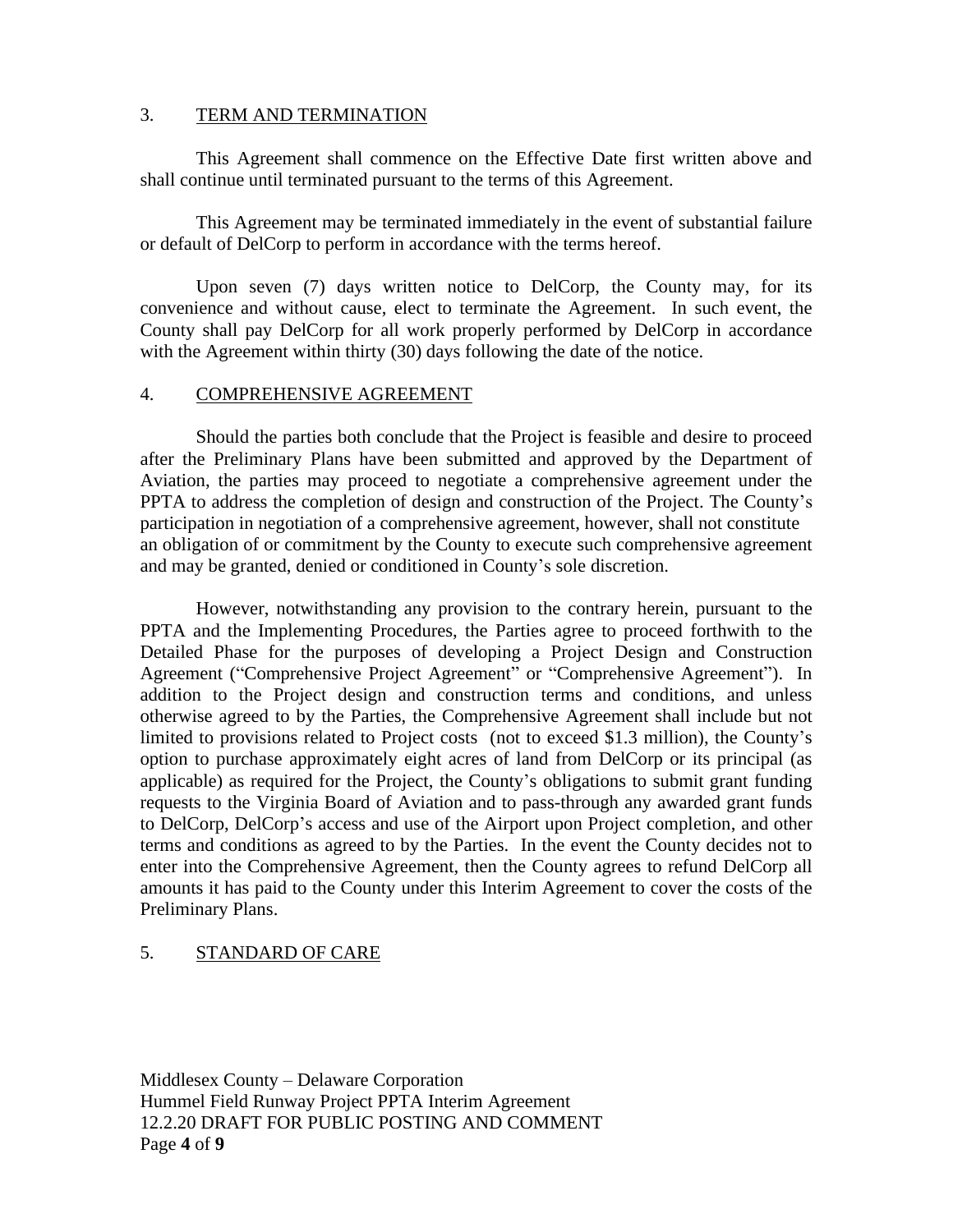## 3. TERM AND TERMINATION

This Agreement shall commence on the Effective Date first written above and shall continue until terminated pursuant to the terms of this Agreement.

This Agreement may be terminated immediately in the event of substantial failure or default of DelCorp to perform in accordance with the terms hereof.

Upon seven (7) days written notice to DelCorp, the County may, for its convenience and without cause, elect to terminate the Agreement. In such event, the County shall pay DelCorp for all work properly performed by DelCorp in accordance with the Agreement within thirty (30) days following the date of the notice.

## 4. COMPREHENSIVE AGREEMENT

Should the parties both conclude that the Project is feasible and desire to proceed after the Preliminary Plans have been submitted and approved by the Department of Aviation, the parties may proceed to negotiate a comprehensive agreement under the PPTA to address the completion of design and construction of the Project. The County's participation in negotiation of a comprehensive agreement, however, shall not constitute an obligation of or commitment by the County to execute such comprehensive agreement and may be granted, denied or conditioned in County's sole discretion.

However, notwithstanding any provision to the contrary herein, pursuant to the PPTA and the Implementing Procedures, the Parties agree to proceed forthwith to the Detailed Phase for the purposes of developing a Project Design and Construction Agreement ("Comprehensive Project Agreement" or "Comprehensive Agreement"). In addition to the Project design and construction terms and conditions, and unless otherwise agreed to by the Parties, the Comprehensive Agreement shall include but not limited to provisions related to Project costs (not to exceed \$1.3 million), the County's option to purchase approximately eight acres of land from DelCorp or its principal (as applicable) as required for the Project, the County's obligations to submit grant funding requests to the Virginia Board of Aviation and to pass-through any awarded grant funds to DelCorp, DelCorp's access and use of the Airport upon Project completion, and other terms and conditions as agreed to by the Parties. In the event the County decides not to enter into the Comprehensive Agreement, then the County agrees to refund DelCorp all amounts it has paid to the County under this Interim Agreement to cover the costs of the Preliminary Plans.

## 5. STANDARD OF CARE

Middlesex County – Delaware Corporation Hummel Field Runway Project PPTA Interim Agreement 12.2.20 DRAFT FOR PUBLIC POSTING AND COMMENT Page **4** of **9**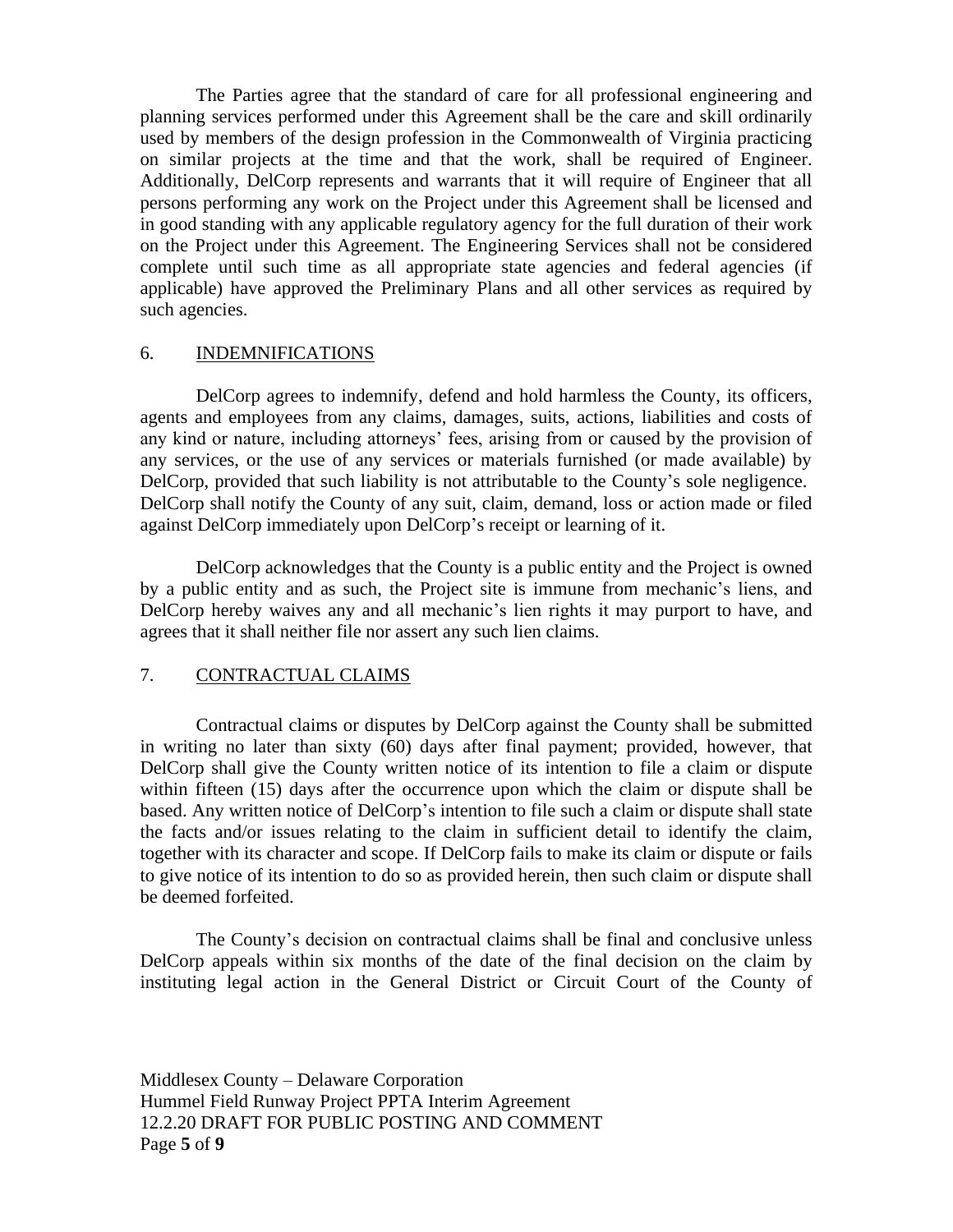The Parties agree that the standard of care for all professional engineering and planning services performed under this Agreement shall be the care and skill ordinarily used by members of the design profession in the Commonwealth of Virginia practicing on similar projects at the time and that the work, shall be required of Engineer. Additionally, DelCorp represents and warrants that it will require of Engineer that all persons performing any work on the Project under this Agreement shall be licensed and in good standing with any applicable regulatory agency for the full duration of their work on the Project under this Agreement. The Engineering Services shall not be considered complete until such time as all appropriate state agencies and federal agencies (if applicable) have approved the Preliminary Plans and all other services as required by such agencies.

#### 6. INDEMNIFICATIONS

DelCorp agrees to indemnify, defend and hold harmless the County, its officers, agents and employees from any claims, damages, suits, actions, liabilities and costs of any kind or nature, including attorneys' fees, arising from or caused by the provision of any services, or the use of any services or materials furnished (or made available) by DelCorp, provided that such liability is not attributable to the County's sole negligence. DelCorp shall notify the County of any suit, claim, demand, loss or action made or filed against DelCorp immediately upon DelCorp's receipt or learning of it.

DelCorp acknowledges that the County is a public entity and the Project is owned by a public entity and as such, the Project site is immune from mechanic's liens, and DelCorp hereby waives any and all mechanic's lien rights it may purport to have, and agrees that it shall neither file nor assert any such lien claims.

## 7. CONTRACTUAL CLAIMS

Contractual claims or disputes by DelCorp against the County shall be submitted in writing no later than sixty (60) days after final payment; provided, however, that DelCorp shall give the County written notice of its intention to file a claim or dispute within fifteen (15) days after the occurrence upon which the claim or dispute shall be based. Any written notice of DelCorp's intention to file such a claim or dispute shall state the facts and/or issues relating to the claim in sufficient detail to identify the claim, together with its character and scope. If DelCorp fails to make its claim or dispute or fails to give notice of its intention to do so as provided herein, then such claim or dispute shall be deemed forfeited.

The County's decision on contractual claims shall be final and conclusive unless DelCorp appeals within six months of the date of the final decision on the claim by instituting legal action in the General District or Circuit Court of the County of

Middlesex County – Delaware Corporation Hummel Field Runway Project PPTA Interim Agreement 12.2.20 DRAFT FOR PUBLIC POSTING AND COMMENT Page **5** of **9**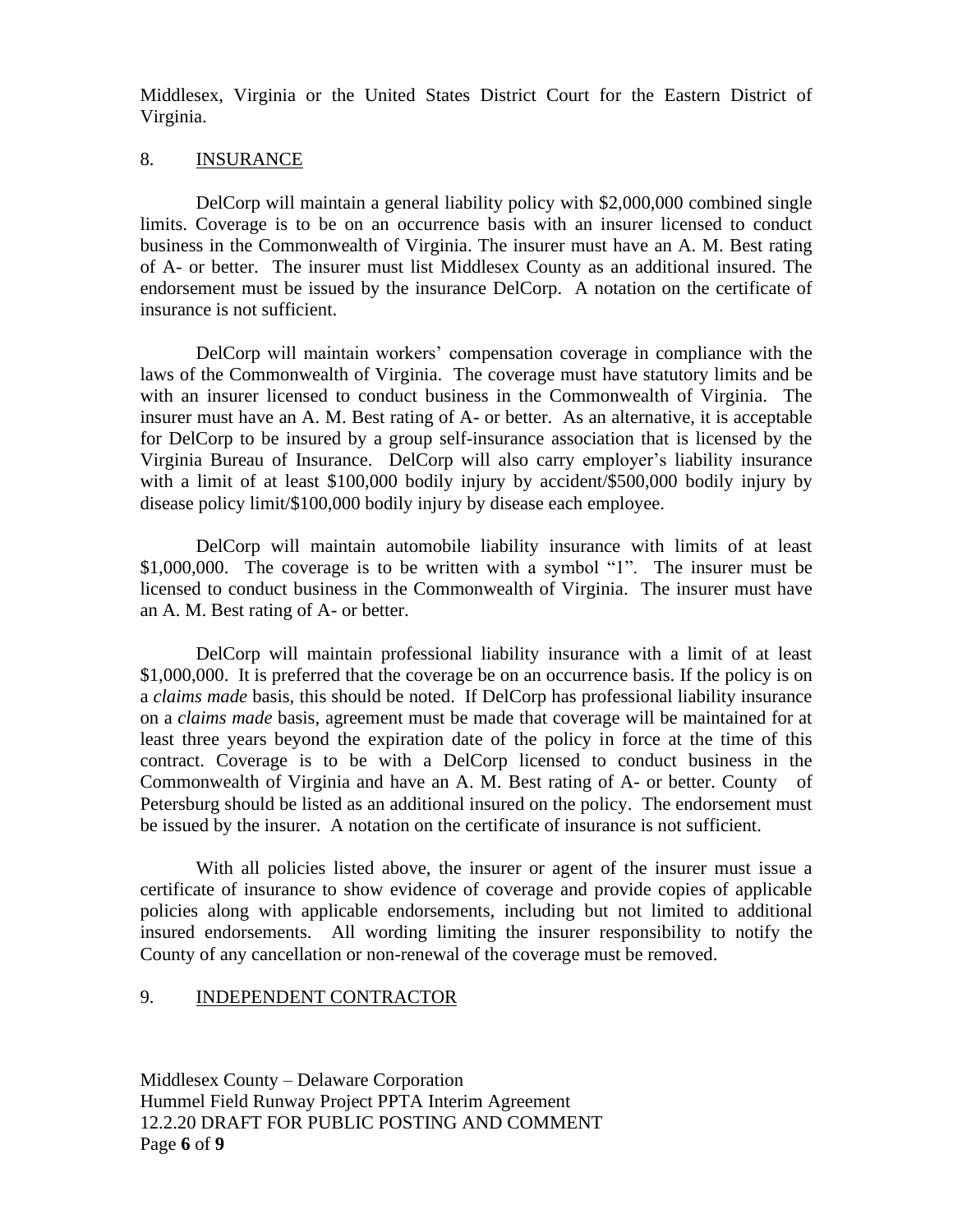Middlesex, Virginia or the United States District Court for the Eastern District of Virginia.

## 8. INSURANCE

DelCorp will maintain a general liability policy with \$2,000,000 combined single limits. Coverage is to be on an occurrence basis with an insurer licensed to conduct business in the Commonwealth of Virginia. The insurer must have an A. M. Best rating of A- or better. The insurer must list Middlesex County as an additional insured. The endorsement must be issued by the insurance DelCorp. A notation on the certificate of insurance is not sufficient.

DelCorp will maintain workers' compensation coverage in compliance with the laws of the Commonwealth of Virginia. The coverage must have statutory limits and be with an insurer licensed to conduct business in the Commonwealth of Virginia. The insurer must have an A. M. Best rating of A- or better. As an alternative, it is acceptable for DelCorp to be insured by a group self-insurance association that is licensed by the Virginia Bureau of Insurance. DelCorp will also carry employer's liability insurance with a limit of at least \$100,000 bodily injury by accident/\$500,000 bodily injury by disease policy limit/\$100,000 bodily injury by disease each employee.

DelCorp will maintain automobile liability insurance with limits of at least \$1,000,000. The coverage is to be written with a symbol "1". The insurer must be licensed to conduct business in the Commonwealth of Virginia. The insurer must have an A. M. Best rating of A- or better.

DelCorp will maintain professional liability insurance with a limit of at least \$1,000,000. It is preferred that the coverage be on an occurrence basis. If the policy is on a *claims made* basis, this should be noted. If DelCorp has professional liability insurance on a *claims made* basis, agreement must be made that coverage will be maintained for at least three years beyond the expiration date of the policy in force at the time of this contract. Coverage is to be with a DelCorp licensed to conduct business in the Commonwealth of Virginia and have an A. M. Best rating of A- or better. County of Petersburg should be listed as an additional insured on the policy. The endorsement must be issued by the insurer. A notation on the certificate of insurance is not sufficient.

With all policies listed above, the insurer or agent of the insurer must issue a certificate of insurance to show evidence of coverage and provide copies of applicable policies along with applicable endorsements, including but not limited to additional insured endorsements. All wording limiting the insurer responsibility to notify the County of any cancellation or non-renewal of the coverage must be removed.

## 9. INDEPENDENT CONTRACTOR

Middlesex County – Delaware Corporation Hummel Field Runway Project PPTA Interim Agreement 12.2.20 DRAFT FOR PUBLIC POSTING AND COMMENT Page **6** of **9**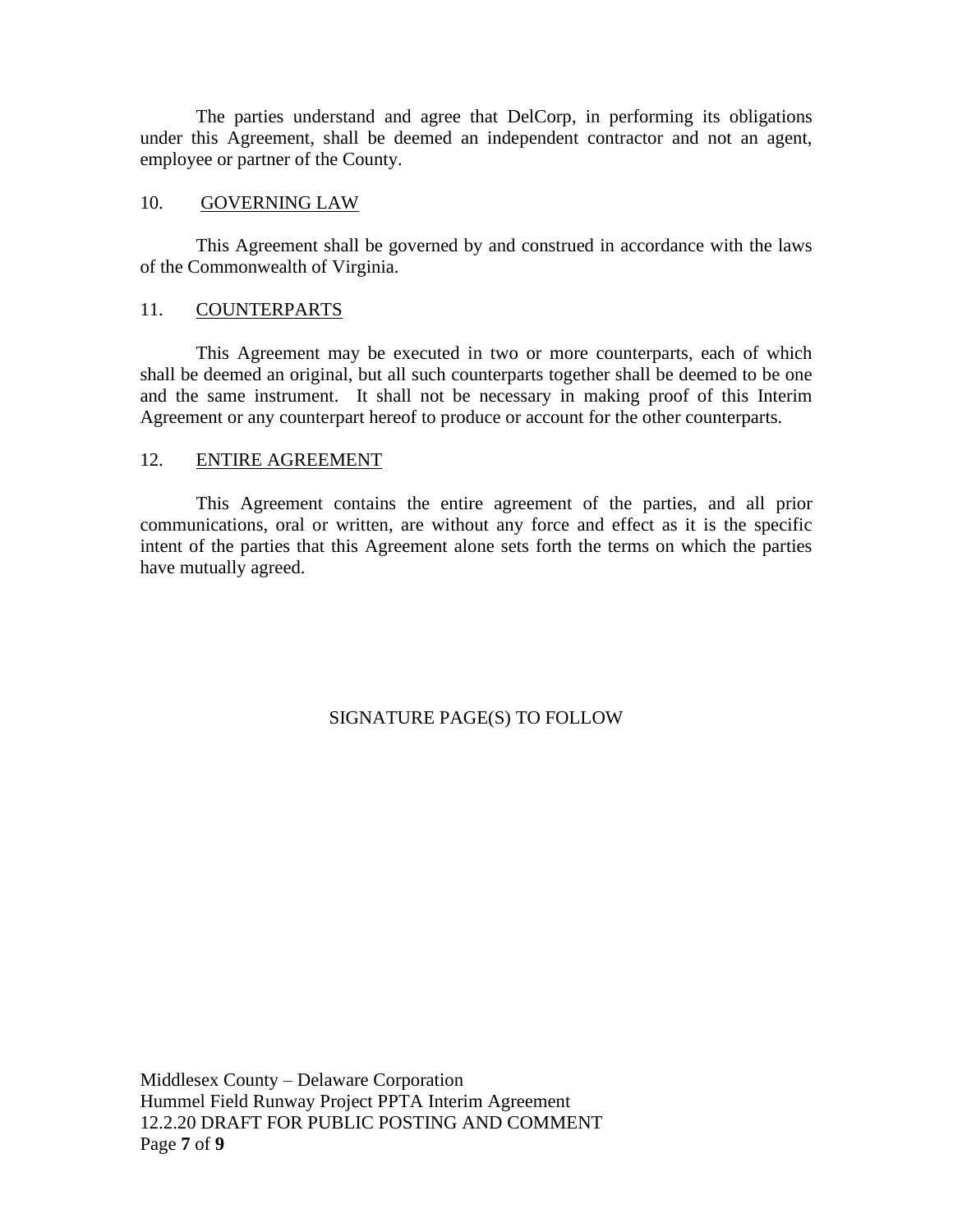The parties understand and agree that DelCorp, in performing its obligations under this Agreement, shall be deemed an independent contractor and not an agent, employee or partner of the County.

#### 10. GOVERNING LAW

This Agreement shall be governed by and construed in accordance with the laws of the Commonwealth of Virginia.

#### 11. COUNTERPARTS

This Agreement may be executed in two or more counterparts, each of which shall be deemed an original, but all such counterparts together shall be deemed to be one and the same instrument. It shall not be necessary in making proof of this Interim Agreement or any counterpart hereof to produce or account for the other counterparts.

#### 12. ENTIRE AGREEMENT

This Agreement contains the entire agreement of the parties, and all prior communications, oral or written, are without any force and effect as it is the specific intent of the parties that this Agreement alone sets forth the terms on which the parties have mutually agreed.

SIGNATURE PAGE(S) TO FOLLOW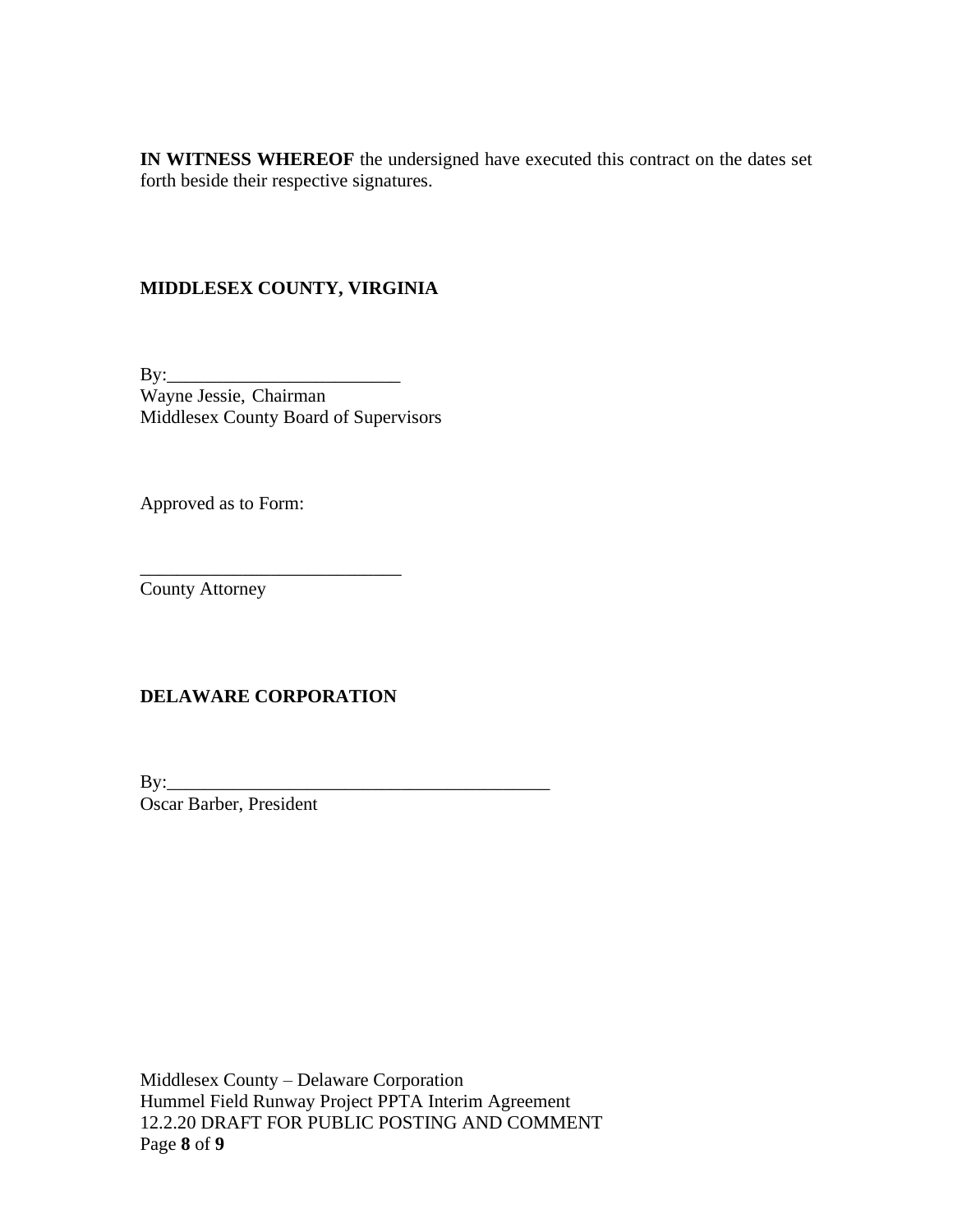**IN WITNESS WHEREOF** the undersigned have executed this contract on the dates set forth beside their respective signatures.

# **MIDDLESEX COUNTY, VIRGINIA**

By:\_\_\_\_\_\_\_\_\_\_\_\_\_\_\_\_\_\_\_\_\_\_\_\_\_ Wayne Jessie, Chairman Middlesex County Board of Supervisors

Approved as to Form:

County Attorney

# **DELAWARE CORPORATION**

\_\_\_\_\_\_\_\_\_\_\_\_\_\_\_\_\_\_\_\_\_\_\_\_\_\_\_\_

 $By:$ Oscar Barber, President

Middlesex County – Delaware Corporation Hummel Field Runway Project PPTA Interim Agreement 12.2.20 DRAFT FOR PUBLIC POSTING AND COMMENT Page **8** of **9**